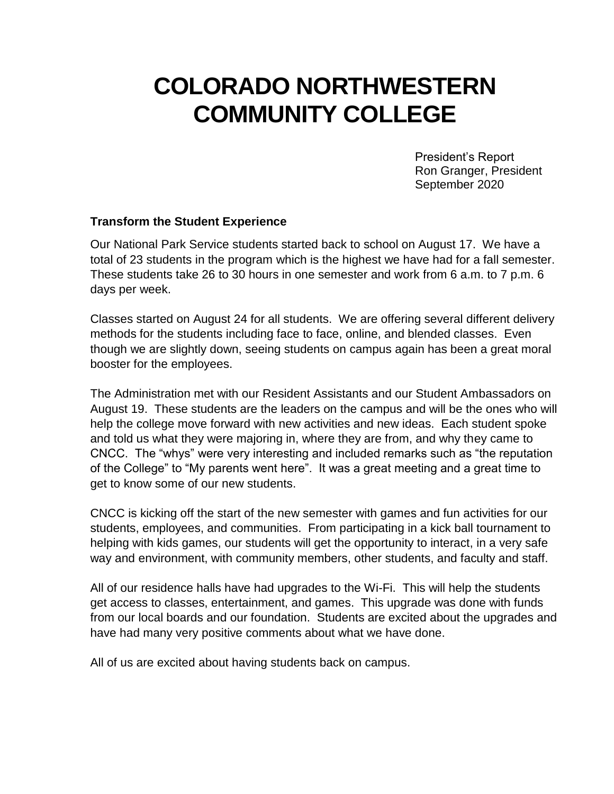# **COLORADO NORTHWESTERN COMMUNITY COLLEGE**

President's Report Ron Granger, President September 2020

#### **Transform the Student Experience**

Our National Park Service students started back to school on August 17. We have a total of 23 students in the program which is the highest we have had for a fall semester. These students take 26 to 30 hours in one semester and work from 6 a.m. to 7 p.m. 6 days per week.

Classes started on August 24 for all students. We are offering several different delivery methods for the students including face to face, online, and blended classes. Even though we are slightly down, seeing students on campus again has been a great moral booster for the employees.

The Administration met with our Resident Assistants and our Student Ambassadors on August 19. These students are the leaders on the campus and will be the ones who will help the college move forward with new activities and new ideas. Each student spoke and told us what they were majoring in, where they are from, and why they came to CNCC. The "whys" were very interesting and included remarks such as "the reputation of the College" to "My parents went here". It was a great meeting and a great time to get to know some of our new students.

CNCC is kicking off the start of the new semester with games and fun activities for our students, employees, and communities. From participating in a kick ball tournament to helping with kids games, our students will get the opportunity to interact, in a very safe way and environment, with community members, other students, and faculty and staff.

All of our residence halls have had upgrades to the Wi-Fi. This will help the students get access to classes, entertainment, and games. This upgrade was done with funds from our local boards and our foundation. Students are excited about the upgrades and have had many very positive comments about what we have done.

All of us are excited about having students back on campus.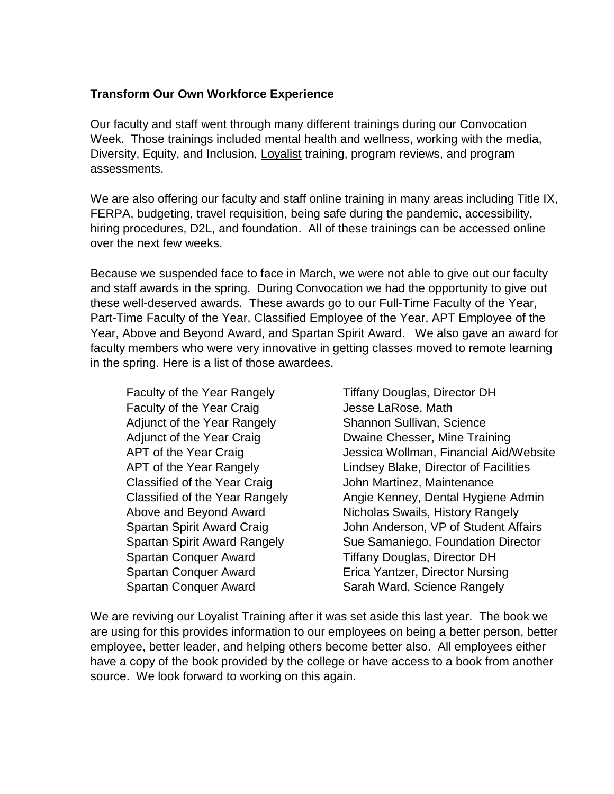# **Transform Our Own Workforce Experience**

Our faculty and staff went through many different trainings during our Convocation Week. Those trainings included mental health and wellness, working with the media, Diversity, Equity, and Inclusion, Loyalist training, program reviews, and program assessments.

We are also offering our faculty and staff online training in many areas including Title IX, FERPA, budgeting, travel requisition, being safe during the pandemic, accessibility, hiring procedures, D2L, and foundation. All of these trainings can be accessed online over the next few weeks.

Because we suspended face to face in March, we were not able to give out our faculty and staff awards in the spring. During Convocation we had the opportunity to give out these well-deserved awards. These awards go to our Full-Time Faculty of the Year, Part-Time Faculty of the Year, Classified Employee of the Year, APT Employee of the Year, Above and Beyond Award, and Spartan Spirit Award. We also gave an award for faculty members who were very innovative in getting classes moved to remote learning in the spring. Here is a list of those awardees.

Faculty of the Year Rangely Tiffany Douglas, Director DH Faculty of the Year Craig **Faculty** of the Year Craig **Jesse LaRose**, Math Adjunct of the Year Rangely Shannon Sullivan, Science Classified of the Year Craig **John Martinez, Maintenance** Spartan Conquer Award Tiffany Douglas, Director DH

Adjunct of the Year Craig **Dwaine Chesser, Mine Training** APT of the Year Craig **Jessica Wollman, Financial Aid/Website** APT of the Year Rangely Lindsey Blake, Director of Facilities Classified of the Year Rangely **Angie Kenney, Dental Hygiene Admin** Above and Beyond Award Nicholas Swails, History Rangely Spartan Spirit Award Craig **John Anderson, VP of Student Affairs** Spartan Spirit Award Rangely Sue Samaniego, Foundation Director Spartan Conquer Award Erica Yantzer, Director Nursing Spartan Conquer Award Sarah Ward, Science Rangely

We are reviving our Loyalist Training after it was set aside this last year. The book we are using for this provides information to our employees on being a better person, better employee, better leader, and helping others become better also. All employees either have a copy of the book provided by the college or have access to a book from another source. We look forward to working on this again.